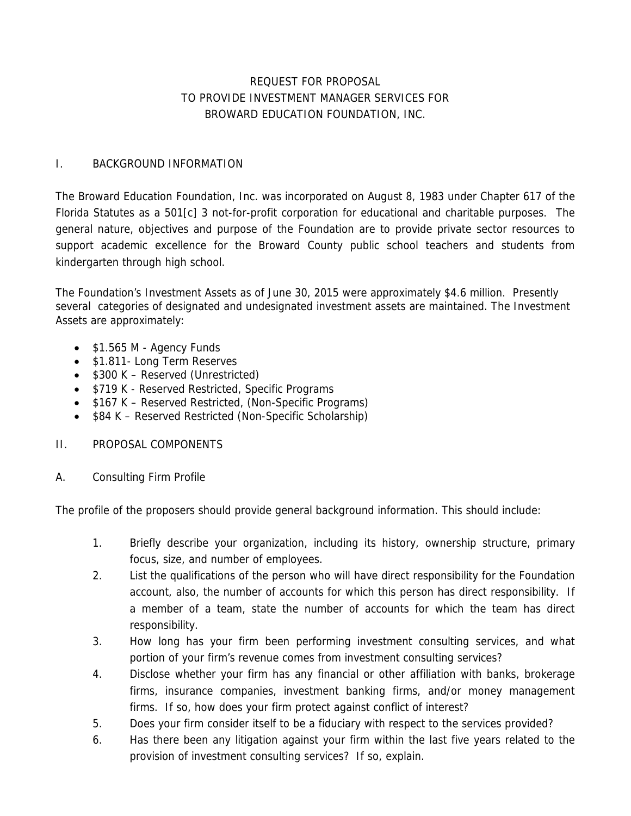# REQUEST FOR PROPOSAL TO PROVIDE INVESTMENT MANAGER SERVICES FOR BROWARD EDUCATION FOUNDATION, INC.

## I. BACKGROUND INFORMATION

The Broward Education Foundation, Inc. was incorporated on August 8, 1983 under Chapter 617 of the Florida Statutes as a 501[c] 3 not-for-profit corporation for educational and charitable purposes. The general nature, objectives and purpose of the Foundation are to provide private sector resources to support academic excellence for the Broward County public school teachers and students from kindergarten through high school.

The Foundation's Investment Assets as of June 30, 2015 were approximately \$4.6 million. Presently several categories of designated and undesignated investment assets are maintained. The Investment Assets are approximately:

- $\bullet$  \$1.565 M Agency Funds
- \$1.811- Long Term Reserves
- \$300 K Reserved (Unrestricted)
- \$719 K Reserved Restricted, Specific Programs
- \$167 K Reserved Restricted, (Non-Specific Programs)
- \$84 K Reserved Restricted (Non-Specific Scholarship)
- II. PROPOSAL COMPONENTS
- A. Consulting Firm Profile

The profile of the proposers should provide general background information. This should include:

- 1. Briefly describe your organization, including its history, ownership structure, primary focus, size, and number of employees.
- 2. List the qualifications of the person who will have direct responsibility for the Foundation account, also, the number of accounts for which this person has direct responsibility. If a member of a team, state the number of accounts for which the team has direct responsibility.
- 3. How long has your firm been performing investment consulting services, and what portion of your firm's revenue comes from investment consulting services?
- 4. Disclose whether your firm has any financial or other affiliation with banks, brokerage firms, insurance companies, investment banking firms, and/or money management firms. If so, how does your firm protect against conflict of interest?
- 5. Does your firm consider itself to be a fiduciary with respect to the services provided?
- 6. Has there been any litigation against your firm within the last five years related to the provision of investment consulting services? If so, explain.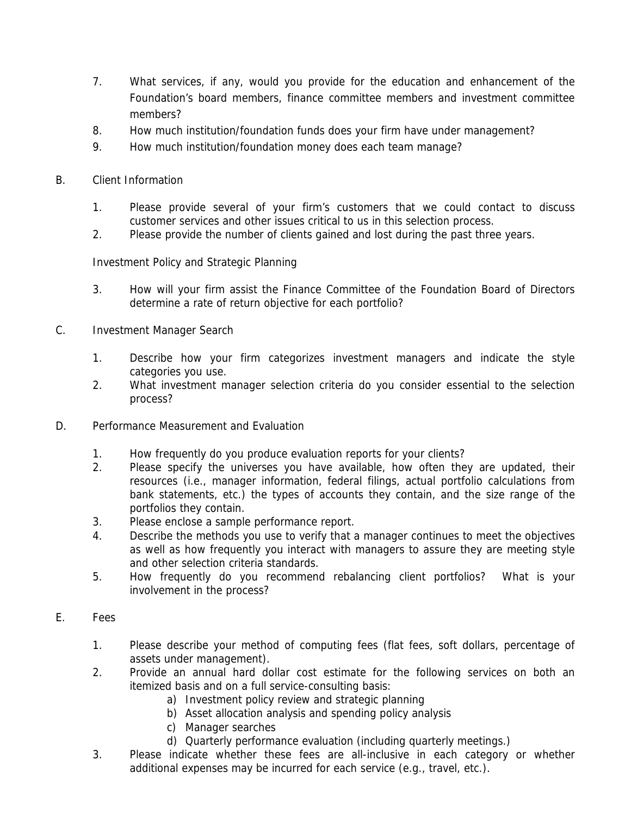- 7. What services, if any, would you provide for the education and enhancement of the Foundation's board members, finance committee members and investment committee members?
- 8. How much institution/foundation funds does your firm have under management?
- 9. How much institution/foundation money does each team manage?
- B. Client Information
	- 1. Please provide several of your firm's customers that we could contact to discuss customer services and other issues critical to us in this selection process.
	- 2. Please provide the number of clients gained and lost during the past three years.

Investment Policy and Strategic Planning

- 3. How will your firm assist the Finance Committee of the Foundation Board of Directors determine a rate of return objective for each portfolio?
- C. Investment Manager Search
	- 1. Describe how your firm categorizes investment managers and indicate the style categories you use.
	- 2. What investment manager selection criteria do you consider essential to the selection process?
- D. Performance Measurement and Evaluation
	- 1. How frequently do you produce evaluation reports for your clients?
	- 2. Please specify the universes you have available, how often they are updated, their resources (i.e., manager information, federal filings, actual portfolio calculations from bank statements, etc.) the types of accounts they contain, and the size range of the portfolios they contain.
	- 3. Please enclose a sample performance report.
	- 4. Describe the methods you use to verify that a manager continues to meet the objectives as well as how frequently you interact with managers to assure they are meeting style and other selection criteria standards.
	- 5. How frequently do you recommend rebalancing client portfolios? What is your involvement in the process?
- E. Fees
	- 1. Please describe your method of computing fees (flat fees, soft dollars, percentage of assets under management).
	- 2. Provide an annual hard dollar cost estimate for the following services on both an itemized basis and on a full service-consulting basis:
		- a) Investment policy review and strategic planning
		- b) Asset allocation analysis and spending policy analysis
		- c) Manager searches
		- d) Quarterly performance evaluation (including quarterly meetings.)
	- 3. Please indicate whether these fees are all-inclusive in each category or whether additional expenses may be incurred for each service (e.g., travel, etc.).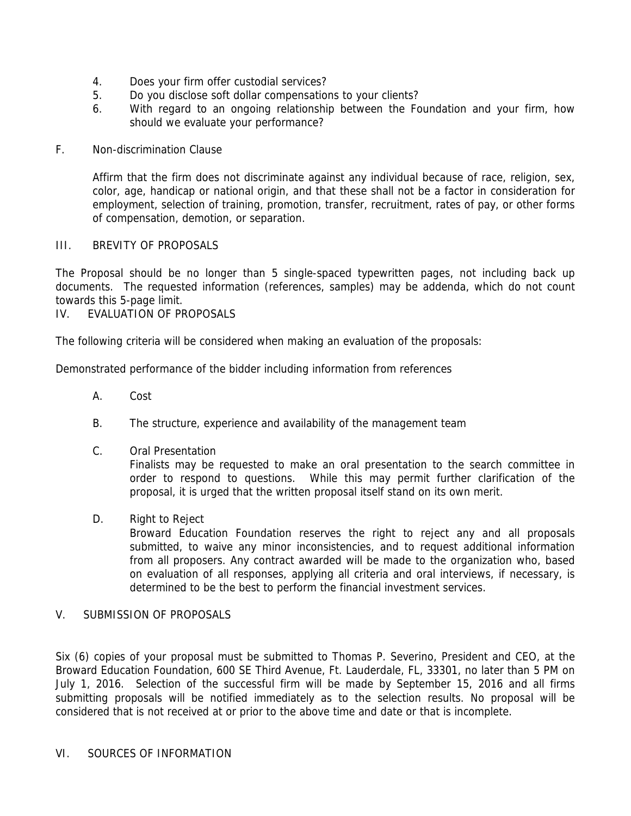- 4. Does your firm offer custodial services?
- 5. Do you disclose soft dollar compensations to your clients?
- 6. With regard to an ongoing relationship between the Foundation and your firm, how should we evaluate your performance?

### F. Non-discrimination Clause

Affirm that the firm does not discriminate against any individual because of race, religion, sex, color, age, handicap or national origin, and that these shall not be a factor in consideration for employment, selection of training, promotion, transfer, recruitment, rates of pay, or other forms of compensation, demotion, or separation.

### III. BREVITY OF PROPOSALS

The Proposal should be no longer than 5 single-spaced typewritten pages, not including back up documents. The requested information (references, samples) may be addenda, which do not count towards this 5-page limit.

## IV. EVALUATION OF PROPOSALS

The following criteria will be considered when making an evaluation of the proposals:

Demonstrated performance of the bidder including information from references

- A. Cost
- B. The structure, experience and availability of the management team
- C. Oral Presentation

Finalists may be requested to make an oral presentation to the search committee in order to respond to questions. While this may permit further clarification of the proposal, it is urged that the written proposal itself stand on its own merit.

D. Right to Reject

Broward Education Foundation reserves the right to reject any and all proposals submitted, to waive any minor inconsistencies, and to request additional information from all proposers. Any contract awarded will be made to the organization who, based on evaluation of all responses, applying all criteria and oral interviews, if necessary, is determined to be the best to perform the financial investment services.

## V. SUBMISSION OF PROPOSALS

Six (6) copies of your proposal must be submitted to Thomas P. Severino, President and CEO, at the Broward Education Foundation, 600 SE Third Avenue, Ft. Lauderdale, FL, 33301, no later than 5 PM on July 1, 2016. Selection of the successful firm will be made by September 15, 2016 and all firms submitting proposals will be notified immediately as to the selection results. No proposal will be considered that is not received at or prior to the above time and date or that is incomplete.

#### VI. SOURCES OF INFORMATION